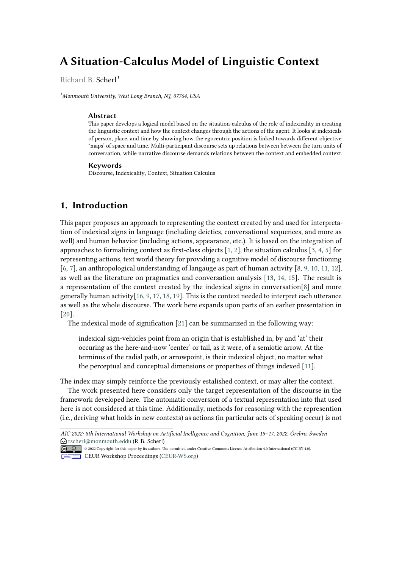# **A Situation-Calculus Model of Linguistic Context**

Richard B. Scherl*<sup>1</sup>*

*<sup>1</sup>Monmouth University, West Long Branch, NJ, 07764, USA*

#### **Abstract**

This paper develops a logical model based on the situation-calculus of the role of indexicality in creating the linguistic context and how the context changes through the actions of the agent. It looks at indexicals of person, place, and time by showing how the egocentric position is linked towards different objective "maps' of space and time. Multi-participant discourse sets up relations between between the turn units of conversation, while narrative discourse demands relations between the context and embedded context.

#### **Keywords**

Discourse, Indexicality, Context, Situation Calculus

# **1. Introduction**

This paper proposes an approach to representing the context created by and used for interpretation of indexical signs in language (including deictics, conversational sequences, and more as well) and human behavior (including actions, appearance, etc.). It is based on the integration of approaches to formalizing context as first-class objects [\[1,](#page-7-0) [2\]](#page-7-1), the situation calculus [\[3,](#page-7-2) [4,](#page-7-3) [5\]](#page-7-4) for representing actions, text world theory for providing a cognitive model of discourse functioning [\[6,](#page-7-5) [7\]](#page-7-6), an anthropological understanding of langauge as part of human activity [\[8,](#page-7-7) [9,](#page-7-8) [10,](#page-7-9) [11,](#page-7-10) [12\]](#page-7-11), as well as the literature on pragmatics and conversation analysis [\[13,](#page-7-12) [14,](#page-7-13) [15\]](#page-7-14). The result is a representation of the context created by the indexical signs in conversation[\[8\]](#page-7-7) and more generally human activity[\[16,](#page-7-15) [9,](#page-7-8) [17,](#page-7-16) [18,](#page-7-17) [19\]](#page-7-18). This is the context needed to interpret each utterance as well as the whole discourse. The work here expands upon parts of an earlier presentation in [\[20\]](#page-7-19).

The indexical mode of signification [\[21\]](#page-8-0) can be summarized in the following way:

indexical sign-vehicles point from an origin that is established in, by and 'at' their occuring as the here-and-now 'center' or tail, as it were, of a semiotic arrow. At the terminus of the radial path, or arrowpoint, is their indexical object, no matter what the perceptual and conceptual dimensions or properties of things indexed [\[11\]](#page-7-10).

The index may simply reinforce the previously estalished context, or may alter the context.

The work presented here considers only the target representation of the discourse in the framework developed here. The automatic conversion of a textual representation into that used here is not considered at this time. Additionally, methods for reasoning with the represention (i.e., deriving what holds in new contexts) as actions (in particular acts of speaking occur) is not

*AIC 2022: 8th International Workshop on Artificial Inelligence and Cognition, June 15–17, 2022, Örebro, Sweden*  $\bigcirc$  [rscherl@monmouth.eddu](mailto:rscherl@monmouth.eddu) (R. B. Scherl)

<sup>©</sup> 2022 Copyright for this paper by its authors. Use permitted under Creative Commons License Attribution 4.0 International (CC BY 4.0).

CEUR Workshop [Proceedings](http://ceur-ws.org) [\(CEUR-WS.org\)](http://ceur-ws.org)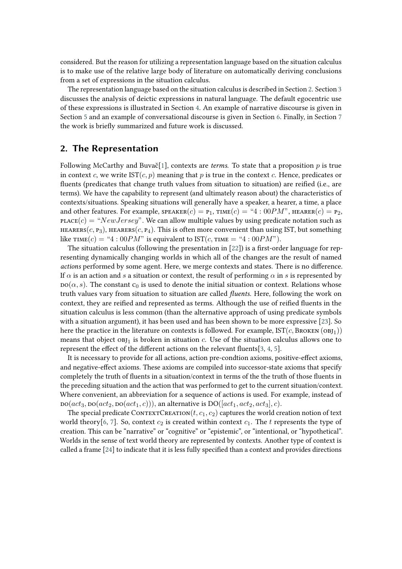considered. But the reason for utilizing a representation language based on the situation calculus is to make use of the relative large body of literature on automatically deriving conclusions from a set of expressions in the situation calculus.

The representation language based on the situation calculus is described in Section [2.](#page-1-0) Section [3](#page-2-0) discusses the analysis of deictic expressions in natural language. The default egocentric use of these expressions is illustrated in Section [4.](#page-3-0) An example of narrative discourse is given in Section [5](#page-3-1) and an example of conversational discourse is given in Section [6.](#page-5-0) Finally, in Section [7](#page-6-0) the work is briefly summarized and future work is discussed.

# <span id="page-1-0"></span>**2. The Representation**

Following McCarthy and Buvač<sup>[[1\]](#page-7-0)</sup>, contexts are *terms*. To state that a proposition  $p$  is true in context c, we write  $IST(c, p)$  meaning that p is true in the context c. Hence, predicates or fluents (predicates that change truth values from situation to situation) are reified (i.e., are terms). We have the capability to represent (and ultimately reason about) the characteristics of contexts/situations. Speaking situations will generally have a speaker, a hearer, a time, a place and other features. For example,  $s$ PEAKER $(c) = P_1$ , TIME $(c) = "4:00PM"$ , HEARER $(c) = P_2$ ,  $\text{pLACE}(c) = "New Jersey"$ . We can allow multiple values by using predicate notation such as HEARERS( $c$ ,  $P_3$ ), HEARERS( $c$ ,  $P_4$ ). This is often more convenient than using IST, but something like  $\text{TIME}(c) = "4 : 00PM"$  is equivalent to  $\text{IST}(c, \text{TIME} = "4 : 00PM")$ .

The situation calculus (following the presentation in [\[22\]](#page-8-1)) is a first-order language for representing dynamically changing worlds in which all of the changes are the result of named *actions* performed by some agent. Here, we merge contexts and states. There is no difference. If  $\alpha$  is an action and s a situation or context, the result of performing  $\alpha$  in s is represented by  $\text{do}(\alpha, s)$ . The constant  $c_0$  is used to denote the initial situation or context. Relations whose truth values vary from situation to situation are called *fluents*. Here, following the work on context, they are reified and represented as terms. Although the use of reified fluents in the situation calculus is less common (than the alternative approach of using predicate symbols with a situation argument), it has been used and has been shown to be more expressive [\[23\]](#page-8-2). So here the practice in the literature on contexts is followed. For example,  $\text{IST}(c, \text{BROKEN (OBJ}_1))$ means that object  $\text{obj}_1$  is broken in situation  $c$ . Use of the situation calculus allows one to represent the effect of the different actions on the relevant fluents[\[3,](#page-7-2) [4,](#page-7-3) [5\]](#page-7-4).

It is necessary to provide for all actions, action pre-condtion axioms, positive-effect axioms, and negative-effect axioms. These axioms are compiled into successor-state axioms that specify completely the truth of fluents in a situation/context in terms of the the truth of those fluents in the preceding situation and the action that was performed to get to the current situation/context. Where convenient, an abbreviation for a sequence of actions is used. For example, instead of  $\text{do}(act_3, \text{do}(act_2, \text{do}(act_1, c))),$  an alternative is  $\text{DO}([act_1, act_2, act_3], c).$ 

The special predicate CONTEXTCREATION( $t, c_1, c_2$ ) captures the world creation notion of text world theory[\[6,](#page-7-5) [7\]](#page-7-6). So, context  $c_2$  is created within context  $c_1$ . The t represents the type of creation. This can be "narrative" or "cognitive" or "epistemic", or "intentional, or "hypothetical". Worlds in the sense of text world theory are represented by contexts. Another type of context is called a frame [\[24\]](#page-8-3) to indicate that it is less fully specified than a context and provides directions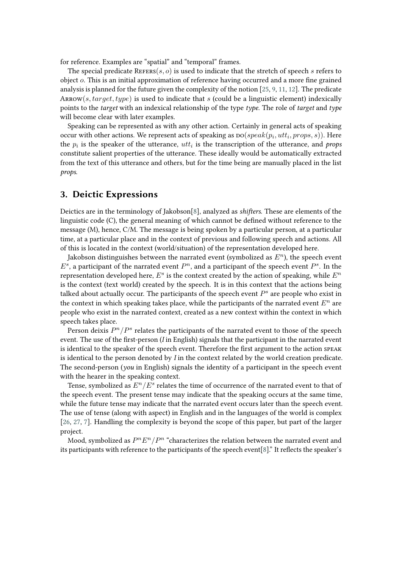for reference. Examples are "spatial" and "temporal" frames.

The special predicate REFERS(s, o) is used to indicate that the stretch of speech s refers to object  $o$ . This is an initial approximation of reference having occurred and a more fine grained analysis is planned for the future given the complexity of the notion [\[25,](#page-8-4) [9,](#page-7-8) [11,](#page-7-10) [12\]](#page-7-11). The predicate ARROW(s,  $target, type$ ) is used to indicate that s (could be a linguistic element) indexically points to the *target* with an indexical relationship of the type *type*. The role of *target* and *type* will become clear with later examples.

Speaking can be represented as with any other action. Certainly in general acts of speaking occur with other actions. We represent acts of speaking as  $\text{po}(speak(p_i, utt_i, props, s))$ . Here the  $p_i$  is the speaker of the utterance,  $utt_i$  is the transcription of the utterance, and *props* constitute salient properties of the utterance. These ideally would be automatically extracted from the text of this utterance and others, but for the time being are manually placed in the list *props*.

# <span id="page-2-0"></span>**3. Deictic Expressions**

Deictics are in the terminology of Jakobson[\[8\]](#page-7-7), analyzed as *shifters*. These are elements of the linguistic code (C), the general meaning of which cannot be defined without reference to the message (M), hence, C/M. The message is being spoken by a particular person, at a particular time, at a particular place and in the context of previous and following speech and actions. All of this is located in the context (world/situation) of the representation developed here.

Jakobson distinguishes between the narrated event (symbolized as  $E<sup>n</sup>$ ), the speech event  $E^s$ , a participant of the narrated event  $P^n$ , and a participant of the speech event  $P^s$ . In the representation developed here,  $E^s$  is the context created by the action of speaking, while  $E^n$ is the context (text world) created by the speech. It is in this context that the actions being talked about actually occur. The participants of the speech event  $P^s$  are people who exist in the context in which speaking takes place, while the participants of the narrated event  $E^n$  are people who exist in the narrated context, created as a new context within the context in which speech takes place.

Person deixis  $P^n/P^s$  relates the participants of the narrated event to those of the speech event. The use of the first-person (*I* in English) signals that the participant in the narrated event is identical to the speaker of the speech event. Therefore the first argument to the action speak is identical to the person denoted by *I* in the context related by the world creation predicate. The second-person (*you* in English) signals the identity of a participant in the speech event with the hearer in the speaking context.

Tense, symbolized as  $E^n/E^s$  relates the time of occurrence of the narrated event to that of the speech event. The present tense may indicate that the speaking occurs at the same time, while the future tense may indicate that the narrated event occurs later than the speech event. The use of tense (along with aspect) in English and in the languages of the world is complex [\[26,](#page-8-5) [27,](#page-8-6) [7\]](#page-7-6). Handling the complexity is beyond the scope of this paper, but part of the larger project.

Mood, symbolized as  $P^n E^n / P^n$  "characterizes the relation between the narrated event and its participants with reference to the participants of the speech event[\[8\]](#page-7-7)." It reflects the speaker's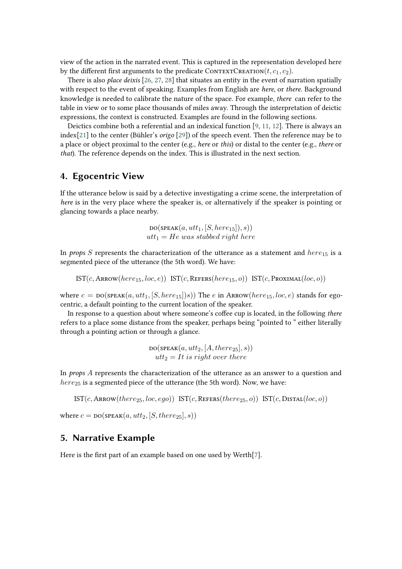view of the action in the narrated event. This is captured in the representation developed here by the different first arguments to the predicate CONTEXTCREATION( $t, c_1, c_2$ ).

There is also *place deixis* [\[26,](#page-8-5) [27,](#page-8-6) [28\]](#page-8-7) that situates an entity in the event of narration spatially with respect to the event of speaking. Examples from English are *here*, or *there*. Background knowledge is needed to calibrate the nature of the space. For example, *there* can refer to the table in view or to some place thousands of miles away. Through the interpretation of deictic expressions, the context is constructed. Examples are found in the following sections.

Deictics combine both a referential and an indexical function [\[9,](#page-7-8) [11,](#page-7-10) [12\]](#page-7-11). There is always an index[\[21\]](#page-8-0) to the center (Bühler's *origo* [\[29\]](#page-8-8)) of the speech event. Then the reference may be to a place or object proximal to the center (e.g., *here* or *this*) or distal to the center (e.g., *there* or *that*). The reference depends on the index. This is illustrated in the next section.

# <span id="page-3-0"></span>**4. Egocentric View**

If the utterance below is said by a detective investigating a crime scene, the interpretation of *here* is in the very place where the speaker is, or alternatively if the speaker is pointing or glancing towards a place nearby.

> $\text{DO}(\text{SPEAK}(a,utt_1, [S, here_{15}]), s))$  $utt_1 = He$  was stabbed right here

In *props* S represents the characterization of the utterance as a statement and  $here_{15}$  is a segmented piece of the utterance (the 5th word). We have:

 $IST(c, \text{ARRow}(here_{15}, loc, e))$  IST $(c, \text{REFERENCES}(here_{15}, o))$  IST $(c, \text{Proximal}(loc, o))$ 

where  $c = \text{po}(\text{sp}\text{EAK}(a, utt_1, [S, here_{15}])s)$ ) The e in Arrow( $here_{15}, loc, e$ ) stands for egocentric, a default pointing to the current location of the speaker.

In response to a question about where someone's coffee cup is located, in the following *there* refers to a place some distance from the speaker, perhaps being "pointed to " either literally through a pointing action or through a glance.

$$
DO(SPEAK(a, utt2, [A, there25], s))
$$
  

$$
utt2 = It is right over there
$$

In *props* A represents the characterization of the utterance as an answer to a question and  $here_{25}$  is a segmented piece of the utterance (the 5th word). Now, we have:

 $IST(c, \text{ARRow}(there_{25}, loc, ego))$   $IST(c, \text{REFERENCES}(there_{25}, o))$   $IST(c, \text{DISTAL}(loc, o))$ 

where  $c = \text{DO}(\text{SPEAK}(a, utt_2, [S, there_{25}], s))$ 

#### <span id="page-3-1"></span>**5. Narrative Example**

Here is the first part of an example based on one used by Werth[\[7\]](#page-7-6).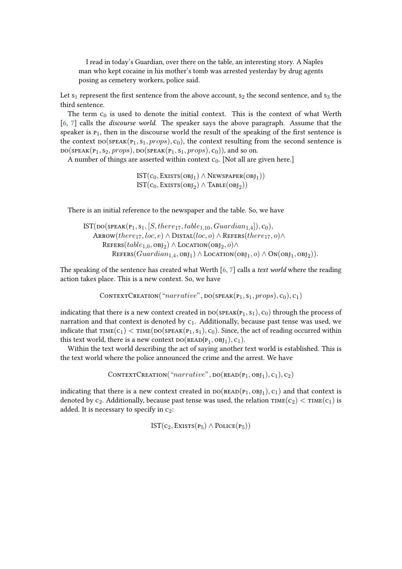I read in today's Guardian, over there on the table, an interesting story. A Naples man who kept cocaine in his mother's tomb was arrested yesterday by drug agents posing as cemetery workers, police said.

Let  $s_1$  represent the first sentence from the above account,  $s_2$  the second sentence, and  $s_3$  the third sentence.

The term  $c_0$  is used to denote the initial context. This is the context of what Werth [\[6,](#page-7-5) [7\]](#page-7-6) calls the *discourse world*. The speaker says the above paragraph. Assume that the speaker is  $P_1$ , then in the discourse world the result of the speaking of the first sentence is the context  $\text{DO}(SPEAK(P_1, S_1, props), c_0)$ , the context resulting from the second sentence is  $\text{DO}(\text{SPEAK}(P_1, S_2, \text{props}), \text{DO}(\text{SPEAK}(P_1, S_1, \text{props}), C_0))$ , and so on.

A number of things are asserted within context  $c_0$ . [Not all are given here.]

 $\mathrm{IST}(\mathrm{c}_0,\mathrm{Exists}(\mathrm{obj}_1) \wedge \mathrm{Newspaper}(\mathrm{obj}_1))$  $\mathrm{IST}(\mathrm{c}_0,\mathrm{Exists}(\mathrm{obj}_2) \wedge \mathrm{Table}(\mathrm{obj}_2))$ 

There is an initial reference to the newspaper and the table. So, we have

 $IST($ DO(SPEAK(P<sub>1</sub>, S<sub>1</sub>, [*S*, *there*<sub>17</sub>, *table*<sub>1,10</sub>, *Guardian*<sub>1,4</sub>]), c<sub>0</sub>),  $\text{ARRow}(there_{17}, loc, e) \wedge \text{DISTAL}(loc, o) \wedge \text{REFERENCES}(there_{17}, o) \wedge$  $\texttt{References}(table_{1,0}, \texttt{obj}_2) \wedge \texttt{Location}(\texttt{obj}_2, o) \wedge$  $\mathsf{References}(Guardian_{1,4}, \mathsf{obj}_1) \wedge \mathsf{Location}(\mathsf{obj}_1, o) \wedge \mathsf{On}(\mathsf{obj}_1, \mathsf{obj}_2)).$ 

The speaking of the sentence has created what Werth [\[6,](#page-7-5) [7\]](#page-7-6) calls a *text world* where the reading action takes place. This is a new context. So, we have

```
CONTEXTCREATION("narrative", DO(SPEAK(p_1, s_1, props), c_0), c_1)
```
indicating that there is a new context created in  $\text{do}(\text{SPEAK}(P_1, S_1), C_0)$  through the process of narration and that context is denoted by  $c_1$ . Additionally, because past tense was used, we indicate that  $\text{TIME}(c_1) < \text{TIME}(\text{DO}(speak(r_1, s_1), c_0))$ . Since, the act of reading occurred within this text world, there is a new context  $\text{do}(\text{READ}(P_1, \text{obj}_1), c_1)$ .

Within the text world describing the act of saying another text world is established. This is the text world where the police announced the crime and the arrest. We have

 $\text{ContrextCreation}("narrative", \text{do}(\text{read}(P_1, \text{obj}_1), c_1), c_2)$ 

indicating that there is a new context created in  $\text{do}(\text{READ}(P_1, \text{OBJ}_1), c_1)$  and that context is denoted by c<sub>2</sub>. Additionally, because past tense was used, the relation  $\text{time}(c_2) < \text{time}(c_1)$  is added. It is necessary to specify in  $c_2$ :

IST( $c_2$ , Exists( $p_5$ ) ∧ Police( $p_5$ ))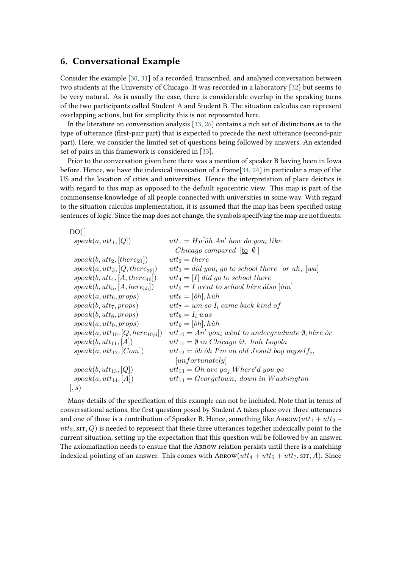### <span id="page-5-0"></span>**6. Conversational Example**

Consider the example [\[30,](#page-8-9) [31\]](#page-8-10) of a recorded, transcribed, and analyzed conversation between two students at the University of Chicago. It was recorded in a laboratory [\[32\]](#page-8-11) but seems to be very natural. As is usually the case, there is considerable overlap in the speaking turns of the two participants called Student A and Student B. The situation calculus can represent overlapping actions, but for simplicity this is not represented here.

In the literature on conversation analysis [\[13,](#page-7-12) [26\]](#page-8-5) contains a rich set of distinctions as to the type of utterance (first-pair part) that is expected to precede the next utterance (second-pair part). Here, we consider the limited set of questions being followed by answers. An extended set of pairs in this framework is considered in [\[33\]](#page-8-12).

Prior to the conversation given here there was a mention of speaker B having been in Iowa before. Hence, we have the indexical invocation of a frame[\[34,](#page-8-13) [24\]](#page-8-3) in particular a map of the US and the location of cities and universities. Hence the interpretation of place deictics is with regard to this map as opposed to the default egocentric view. This map is part of the commonsense knowledge of all people connected with universities in some way. With regard to the situation calculus implementation, it is assumed that the map has been specified using sentences of logic. Since the map does not change, the symbols specifying the map are not fluents.

| DO(                                           |                                                                               |
|-----------------------------------------------|-------------------------------------------------------------------------------|
| speak(a, utt <sub>1</sub> , [Q])              | $utt_1 = Hu^2$ <i>uth</i> An' how do you <sub>i</sub> like                    |
|                                               | <i>Chicago compared</i> [to $\emptyset$ ]                                     |
| $\langle speak(b,utt_2, [there_{21}])\rangle$ | $utt2 = there$                                                                |
| $speak(a, utt3, [Q, there36]$                 | $utt_3 = did you_i go to school there or uh, [wa]$                            |
| $speak(b, utt4, [A, there_{46}])$             | $utt_4 = [I]$ did go to school there                                          |
| $speak(b, utt_5, [A, here_{55}])$             | $utt_5 = I$ went to school hére álso [úm]                                     |
| $speak(a, utt_6, props)$                      | $utt_6 = [\acute{o}h], h\acute{u}h$                                           |
| $speak(b, utt_7, props)$                      | $utt_7 = um so I_i came back kind of$                                         |
| speak(b, utts, props)                         | $utts = I_i$ was                                                              |
| speak(a, utt <sub>9</sub> , props)            | $utt_9 = [\acute{o}h], h\acute{u}h$                                           |
| $\{speak(a, utt_{10}, [Q, here_{10.6}])\}$    | $utt_{10} = An'$ you <sub>i</sub> went to undergraduate $\emptyset$ , here or |
| $speak(b,utt_{11}, [A])$                      | $utt_{11} = \emptyset$ in Chicago át, huh Loyola                              |
| $speak(a, utt_{12}, [Com])$                   | $utt_{12} = \delta h$ <i>oh I'm an old Jesuit boy myself<sub>i</sub></i> ,    |
|                                               | [unforwardly]                                                                 |
| $speak(b,utt_{13}, [Q])$                      | $utt_{13} = Oh$ are $ya_j$ Where'd you go                                     |
| $speak(a, utt_{14}, [A])$                     | $utt_{14} = George town, down in Washington$                                  |
| $\vert, s)$                                   |                                                                               |

Many details of the specification of this example can not be included. Note that in terms of conversational actions, the first question posed by Student A takes place over three utterances and one of those is a contribution of Speaker B. Hence, something like ARROW $(utt_1 + utt_2 +$  $utt_3, \text{ST}, Q$  is needed to represent that these three utterances together indexically point to the current situation, setting up the expectation that this question will be followed by an answer. The axiomatization needs to ensure that the Arrow relation persists until there is a matching indexical pointing of an answer. This comes with  $\text{ARRow}(utt_4 + utt_5 + utt_7, \text{ST}, A)$ . Since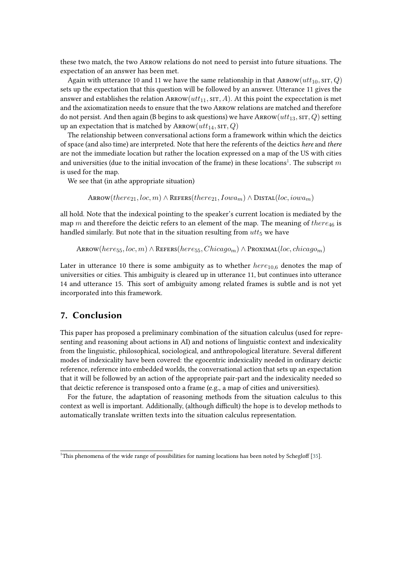these two match, the two Arrow relations do not need to persist into future situations. The expectation of an answer has been met.

Again with utterance 10 and 11 we have the same relationship in that ARROW $(utt_{10}, \text{ST}, Q)$ sets up the expectation that this question will be followed by an answer. Utterance 11 gives the answer and establishes the relation ARROW( $utt_{11}$ , SIT, A). At this point the expectation is met and the axiomatization needs to ensure that the two Arrow relations are matched and therefore do not persist. And then again (B begins to ask questions) we have ARROW $(utt_{13}, \text{STT}, Q)$  setting up an expectation that is matched by ARROW $(utt_{14}, \text{STT}, Q)$ 

The relationship between conversational actions form a framework within which the deictics of space (and also time) are interpreted. Note that here the referents of the deictics *here* and *there* are not the immediate location but rather the location expressed on a map of the US with cities and universities (due to the initial invocation of the frame) in these locations<sup>[1](#page-6-1)</sup>. The subscript  $m$ is used for the map.

We see that (in athe appropriate situation)

 $\text{ARRow}(there_{21}, loc, m) \wedge \text{References}(there_{21}, Iowa_m) \wedge \text{DISTAL}(loc, iowa_m)$ 

all hold. Note that the indexical pointing to the speaker's current location is mediated by the map m and therefore the deictic refers to an element of the map. The meaning of there<sub>46</sub> is handled similarly. But note that in the situation resulting from  $utt_5$  we have

 $\text{ARRow}(here_{55}, loc, m) \wedge \text{References}(here_{55}, Chicago_m) \wedge \text{Proximal}(loc, Chicago_m)$ 

Later in utterance 10 there is some ambiguity as to whether  $here<sub>10.6</sub>$  denotes the map of universities or cities. This ambiguity is cleared up in utterance 11, but continues into utterance 14 and utterance 15. This sort of ambiguity among related frames is subtle and is not yet incorporated into this framework.

# <span id="page-6-0"></span>**7. Conclusion**

This paper has proposed a preliminary combination of the situation calculus (used for representing and reasoning about actions in AI) and notions of linguistic context and indexicality from the linguistic, philosophical, sociological, and anthropological literature. Several different modes of indexicality have been covered: the egocentric indexicality needed in ordinary deictic reference, reference into embedded worlds, the conversational action that sets up an expectation that it will be followed by an action of the appropriate pair-part and the indexicality needed so that deictic reference is transposed onto a frame (e.g., a map of cities and universities).

For the future, the adaptation of reasoning methods from the situation calculus to this context as well is important. Additionally, (although difficult) the hope is to develop methods to automatically translate written texts into the situation calculus representation.

<span id="page-6-1"></span><sup>&</sup>lt;sup>1</sup>This phenomena of the wide range of possibilities for naming locations has been noted by Schegloff [\[35\]](#page-8-14).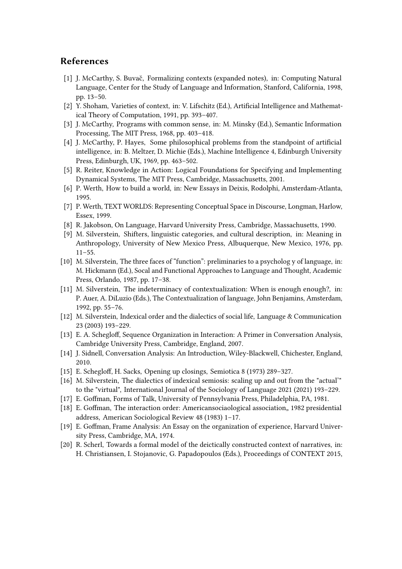# **References**

- <span id="page-7-0"></span>[1] J. McCarthy, S. Buvač, Formalizing contexts (expanded notes), in: Computing Natural Language, Center for the Study of Language and Information, Stanford, California, 1998, pp. 13–50.
- <span id="page-7-1"></span>[2] Y. Shoham, Varieties of context, in: V. Lifschitz (Ed.), Artificial Intelligence and Mathematical Theory of Computation, 1991, pp. 393–407.
- <span id="page-7-2"></span>[3] J. McCarthy, Programs with common sense, in: M. Minsky (Ed.), Semantic Information Processing, The MIT Press, 1968, pp. 403–418.
- <span id="page-7-3"></span>[4] J. McCarthy, P. Hayes, Some philosophical problems from the standpoint of artificial intelligence, in: B. Meltzer, D. Michie (Eds.), Machine Intelligence 4, Edinburgh University Press, Edinburgh, UK, 1969, pp. 463–502.
- <span id="page-7-4"></span>[5] R. Reiter, Knowledge in Action: Logical Foundations for Specifying and Implementing Dynamical Systems, The MIT Press, Cambridge, Massachusetts, 2001.
- <span id="page-7-5"></span>[6] P. Werth, How to build a world, in: New Essays in Deixis, Rodolphi, Amsterdam-Atlanta, 1995.
- <span id="page-7-6"></span>[7] P. Werth, TEXT WORLDS: Representing Conceptual Space in Discourse, Longman, Harlow, Essex, 1999.
- <span id="page-7-7"></span>[8] R. Jakobson, On Language, Harvard University Press, Cambridge, Massachusetts, 1990.
- <span id="page-7-8"></span>[9] M. Silverstein, Shifters, linguistic categories, and cultural description, in: Meaning in Anthropology, University of New Mexico Press, Albuquerque, New Mexico, 1976, pp. 11–55.
- <span id="page-7-9"></span>[10] M. Silverstein, The three faces of "function": preliminaries to a psycholog y of language, in: M. Hickmann (Ed.), Socal and Functional Approaches to Language and Thought, Academic Press, Orlando, 1987, pp. 17–38.
- <span id="page-7-10"></span>[11] M. Silverstein, The indeterminacy of contextualization: When is enough enough?, in: P. Auer, A. DiLuzio (Eds.), The Contextualization of language, John Benjamins, Amsterdam, 1992, pp. 55–76.
- <span id="page-7-11"></span>[12] M. Silverstein, Indexical order and the dialectics of social life, Language & Communication 23 (2003) 193–229.
- <span id="page-7-12"></span>[13] E. A. Schegloff, Sequence Organization in Interaction: A Primer in Conversation Analysis, Cambridge University Press, Cambridge, England, 2007.
- <span id="page-7-13"></span>[14] J. Sidnell, Conversation Analysis: An Introduction, Wiley-Blackwell, Chichester, England, 2010.
- <span id="page-7-14"></span>[15] E. Schegloff, H. Sacks, Opening up closings, Semiotica 8 (1973) 289–327.
- <span id="page-7-15"></span>[16] M. Silverstein, The dialectics of indexical semiosis: scaling up and out from the "actual'" to the "virtual", International Journal of the Sociology of Language 2021 (2021) 193–229.
- <span id="page-7-16"></span>[17] E. Goffman, Forms of Talk, University of Pennsylvania Press, Philadelphia, PA, 1981.
- <span id="page-7-17"></span>[18] E. Goffman, The interaction order: Americansociaological association, 1982 presidential address, American Sociological Review 48 (1983) 1–17.
- <span id="page-7-18"></span>[19] E. Goffman, Frame Analysis: An Essay on the organization of experience, Harvard University Press, Cambridge, MA, 1974.
- <span id="page-7-19"></span>[20] R. Scherl, Towards a formal model of the deictically constructed context of narratives, in: H. Christiansen, I. Stojanovic, G. Papadopoulos (Eds.), Proceedings of CONTEXT 2015,